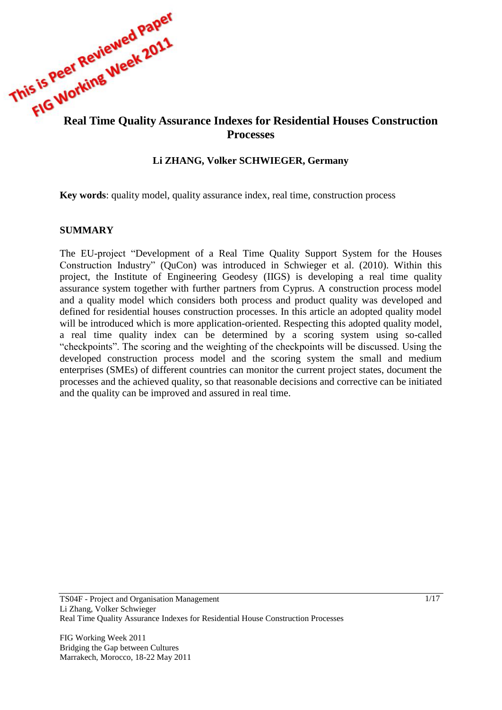

# **Processes**

#### **Li ZHANG, Volker SCHWIEGER, Germany**

**Key words**: quality model, quality assurance index, real time, construction process

#### **SUMMARY**

The EU-project "Development of a Real Time Quality Support System for the Houses Construction Industry" (QuCon) was introduced in Schwieger et al. (2010). Within this project, the Institute of Engineering Geodesy (IIGS) is developing a real time quality assurance system together with further partners from Cyprus. A construction process model and a quality model which considers both process and product quality was developed and defined for residential houses construction processes. In this article an adopted quality model will be introduced which is more application-oriented. Respecting this adopted quality model, a real time quality index can be determined by a scoring system using so-called "checkpoints". The scoring and the weighting of the checkpoints will be discussed. Using the developed construction process model and the scoring system the small and medium enterprises (SMEs) of different countries can monitor the current project states, document the processes and the achieved quality, so that reasonable decisions and corrective can be initiated and the quality can be improved and assured in real time.

FIG Working Week 2011 Bridging the Gap between Cultures Marrakech, Morocco, 18-22 May 2011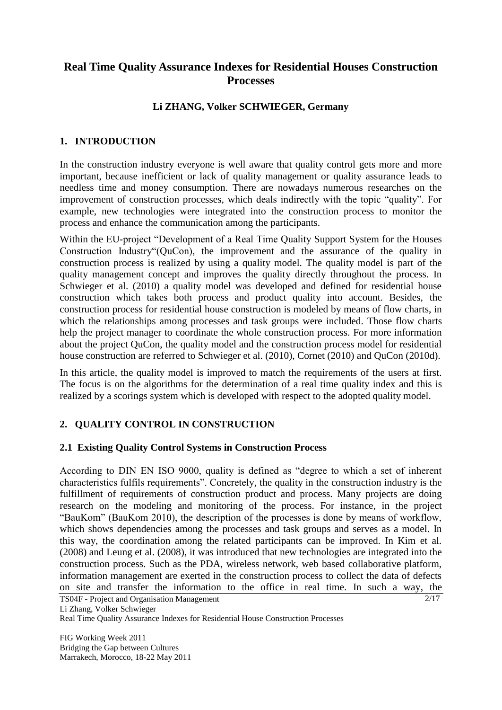# **Real Time Quality Assurance Indexes for Residential Houses Construction Processes**

# **Li ZHANG, Volker SCHWIEGER, Germany**

# **1. INTRODUCTION**

In the construction industry everyone is well aware that quality control gets more and more important, because inefficient or lack of quality management or quality assurance leads to needless time and money consumption. There are nowadays numerous researches on the improvement of construction processes, which deals indirectly with the topic "quality". For example, new technologies were integrated into the construction process to monitor the process and enhance the communication among the participants.

Within the EU-project "Development of a Real Time Quality Support System for the Houses Construction Industry"(QuCon), the improvement and the assurance of the quality in construction process is realized by using a quality model. The quality model is part of the quality management concept and improves the quality directly throughout the process. In Schwieger et al. (2010) a quality model was developed and defined for residential house construction which takes both process and product quality into account. Besides, the construction process for residential house construction is modeled by means of flow charts, in which the relationships among processes and task groups were included. Those flow charts help the project manager to coordinate the whole construction process. For more information about the project QuCon, the quality model and the construction process model for residential house construction are referred to Schwieger et al. (2010), Cornet (2010) and QuCon (2010d).

In this article, the quality model is improved to match the requirements of the users at first. The focus is on the algorithms for the determination of a real time quality index and this is realized by a scorings system which is developed with respect to the adopted quality model.

# **2. QUALITY CONTROL IN CONSTRUCTION**

# **2.1 Existing Quality Control Systems in Construction Process**

According to DIN EN ISO 9000, quality is defined as "degree to which a set of inherent characteristics fulfils requirements". Concretely, the quality in the construction industry is the fulfillment of requirements of construction product and process. Many projects are doing research on the modeling and monitoring of the process. For instance, in the project "BauKom" (BauKom 2010), the description of the processes is done by means of workflow, which shows dependencies among the processes and task groups and serves as a model. In this way, the coordination among the related participants can be improved. In Kim et al. (2008) and Leung et al. (2008), it was introduced that new technologies are integrated into the construction process. Such as the PDA, wireless network, web based collaborative platform, information management are exerted in the construction process to collect the data of defects on site and transfer the information to the office in real time. In such a way, the

TS04F - Project and Organisation Management Li Zhang, Volker Schwieger Real Time Quality Assurance Indexes for Residential House Construction Processes

FIG Working Week 2011 Bridging the Gap between Cultures Marrakech, Morocco, 18-22 May 2011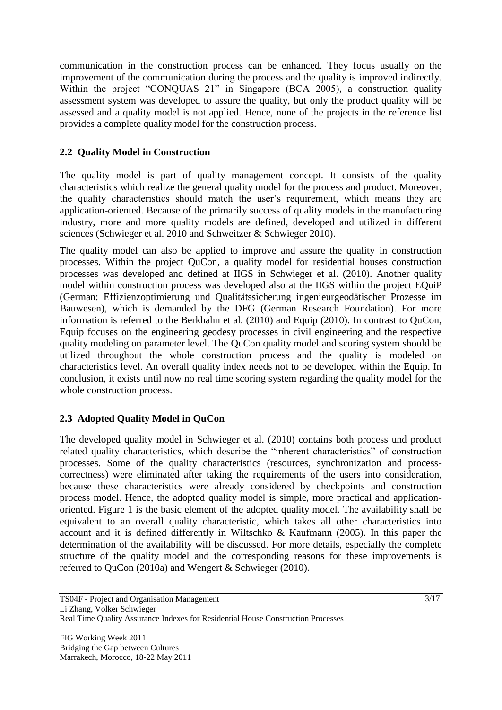communication in the construction process can be enhanced. They focus usually on the improvement of the communication during the process and the quality is improved indirectly. Within the project "CONQUAS 21" in Singapore (BCA 2005), a construction quality assessment system was developed to assure the quality, but only the product quality will be assessed and a quality model is not applied. Hence, none of the projects in the reference list provides a complete quality model for the construction process.

# **2.2 Quality Model in Construction**

The quality model is part of quality management concept. It consists of the quality characteristics which realize the general quality model for the process and product. Moreover, the quality characteristics should match the user's requirement, which means they are application-oriented. Because of the primarily success of quality models in the manufacturing industry, more and more quality models are defined, developed and utilized in different sciences (Schwieger et al. 2010 and Schweitzer & Schwieger 2010).

The quality model can also be applied to improve and assure the quality in construction processes. Within the project QuCon, a quality model for residential houses construction processes was developed and defined at IIGS in Schwieger et al. (2010). Another quality model within construction process was developed also at the IIGS within the project EQuiP (German: Effizienzoptimierung und Qualitätssicherung ingenieurgeodätischer Prozesse im Bauwesen), which is demanded by the DFG (German Research Foundation). For more information is referred to the Berkhahn et al. (2010) and Equip (2010). In contrast to QuCon, Equip focuses on the engineering geodesy processes in civil engineering and the respective quality modeling on parameter level. The QuCon quality model and scoring system should be utilized throughout the whole construction process and the quality is modeled on characteristics level. An overall quality index needs not to be developed within the Equip. In conclusion, it exists until now no real time scoring system regarding the quality model for the whole construction process.

# **2.3 Adopted Quality Model in QuCon**

The developed quality model in Schwieger et al. (2010) contains both process und product related quality characteristics, which describe the "inherent characteristics" of construction processes. Some of the quality characteristics (resources, synchronization and processcorrectness) were eliminated after taking the requirements of the users into consideration, because these characteristics were already considered by checkpoints and construction process model. Hence, the adopted quality model is simple, more practical and applicationoriented. Figure 1 is the basic element of the adopted quality model. The availability shall be equivalent to an overall quality characteristic, which takes all other characteristics into account and it is defined differently in Wiltschko & Kaufmann (2005). In this paper the determination of the availability will be discussed. For more details, especially the complete structure of the quality model and the corresponding reasons for these improvements is referred to QuCon (2010a) and Wengert & Schwieger (2010).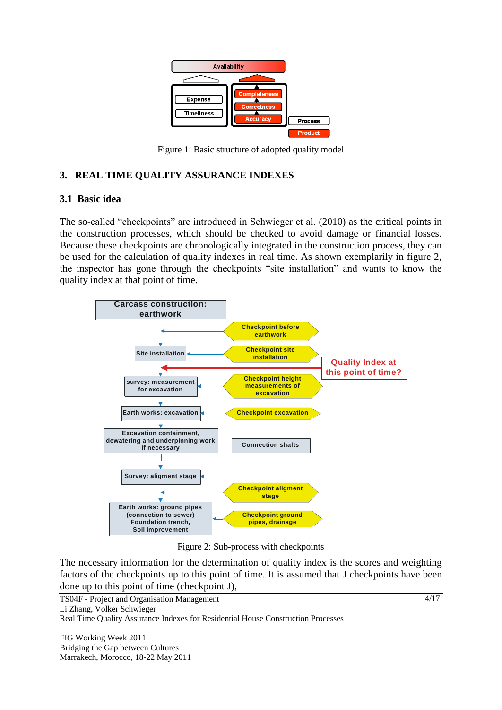

Figure 1: Basic structure of adopted quality model

# **3. REAL TIME QUALITY ASSURANCE INDEXES**

## **3.1 Basic idea**

The so-called "checkpoints" are introduced in Schwieger et al. (2010) as the critical points in the construction processes, which should be checked to avoid damage or financial losses. Because these checkpoints are chronologically integrated in the construction process, they can be used for the calculation of quality indexes in real time. As shown exemplarily in figure 2, the inspector has gone through the checkpoints "site installation" and wants to know the quality index at that point of time.



Figure 2: Sub-process with checkpoints

The necessary information for the determination of quality index is the scores and weighting factors of the checkpoints up to this point of time. It is assumed that J checkpoints have been done up to this point of time (checkpoint J),

TS04F - Project and Organisation Management Li Zhang, Volker Schwieger Real Time Quality Assurance Indexes for Residential House Construction Processes

FIG Working Week 2011 Bridging the Gap between Cultures Marrakech, Morocco, 18-22 May 2011 4/17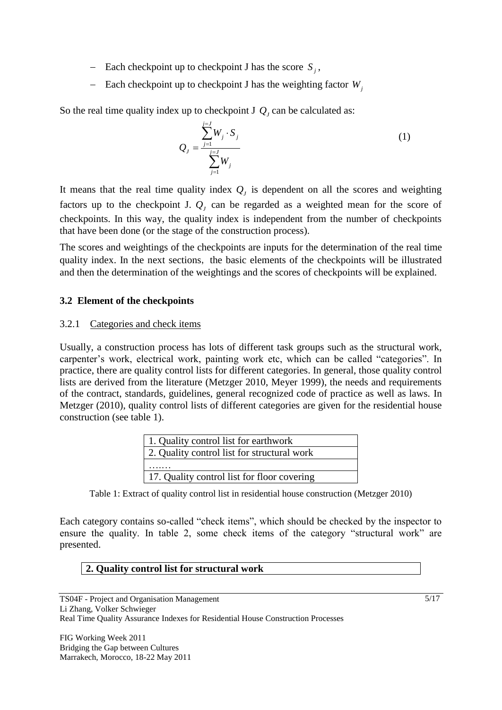- Each checkpoint up to checkpoint J has the score  $S_j$ ,
- Each checkpoint up to checkpoint J has the weighting factor  $W_j$

So the real time quality index up to checkpoint  $JQ_J$  can be calculated as:

$$
Q_{J} = \frac{\sum_{j=1}^{j=J} W_{j} \cdot S_{j}}{\sum_{j=1}^{j=J} W_{j}}
$$
 (1)

It means that the real time quality index  $Q_j$  is dependent on all the scores and weighting factors up to the checkpoint J. *QJ* can be regarded as a weighted mean for the score of checkpoints. In this way, the quality index is independent from the number of checkpoints that have been done (or the stage of the construction process).

The scores and weightings of the checkpoints are inputs for the determination of the real time quality index. In the next sections, the basic elements of the checkpoints will be illustrated and then the determination of the weightings and the scores of checkpoints will be explained.

# **3.2 Element of the checkpoints**

# 3.2.1 Categories and check items

Usually, a construction process has lots of different task groups such as the structural work, carpenter's work, electrical work, painting work etc, which can be called "categories". In practice, there are quality control lists for different categories. In general, those quality control lists are derived from the literature (Metzger 2010, Meyer 1999), the needs and requirements of the contract, standards, guidelines, general recognized code of practice as well as laws. In Metzger (2010), quality control lists of different categories are given for the residential house construction (see table 1).

| 1. Quality control list for earthwork       |
|---------------------------------------------|
| 2. Quality control list for structural work |
|                                             |
| 17. Quality control list for floor covering |

Table 1: Extract of quality control list in residential house construction (Metzger 2010)

Each category contains so-called "check items", which should be checked by the inspector to ensure the quality. In table 2, some check items of the category "structural work" are presented.

# **2. Quality control list for structural work**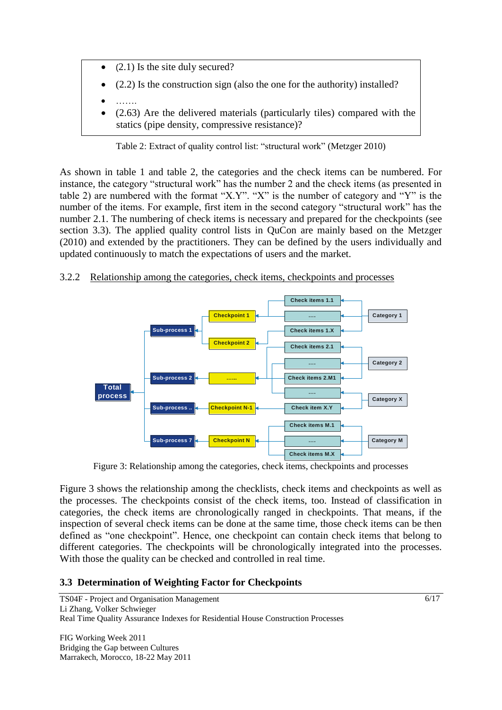- (2.1) Is the site duly secured?
- (2.2) Is the construction sign (also the one for the authority) installed?
- …….
- (2.63) Are the delivered materials (particularly tiles) compared with the statics (pipe density, compressive resistance)?

Table 2: Extract of quality control list: "structural work" (Metzger 2010)

As shown in table 1 and table 2, the categories and the check items can be numbered. For instance, the category "structural work" has the number 2 and the check items (as presented in table 2) are numbered with the format "X.Y". "X" is the number of category and "Y" is the number of the items. For example, first item in the second category "structural work" has the number 2.1. The numbering of check items is necessary and prepared for the checkpoints (see section 3.3). The applied quality control lists in QuCon are mainly based on the Metzger (2010) and extended by the practitioners. They can be defined by the users individually and updated continuously to match the expectations of users and the market.

# 3.2.2 Relationship among the categories, check items, checkpoints and processes



Figure 3: Relationship among the categories, check items, checkpoints and processes

Figure 3 shows the relationship among the checklists, check items and checkpoints as well as the processes. The checkpoints consist of the check items, too. Instead of classification in categories, the check items are chronologically ranged in checkpoints. That means, if the inspection of several check items can be done at the same time, those check items can be then defined as "one checkpoint". Hence, one checkpoint can contain check items that belong to different categories. The checkpoints will be chronologically integrated into the processes. With those the quality can be checked and controlled in real time.

# **3.3 Determination of Weighting Factor for Checkpoints**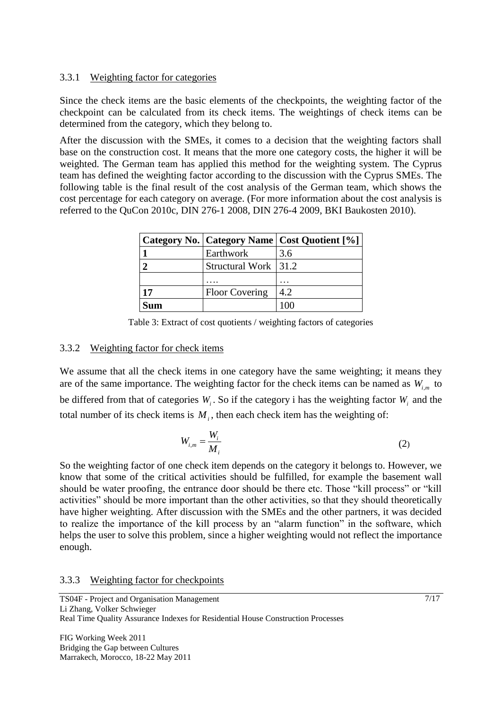# 3.3.1 Weighting factor for categories

Since the check items are the basic elements of the checkpoints, the weighting factor of the checkpoint can be calculated from its check items. The weightings of check items can be determined from the category, which they belong to.

After the discussion with the SMEs, it comes to a decision that the weighting factors shall base on the construction cost. It means that the more one category costs, the higher it will be weighted. The German team has applied this method for the weighting system. The Cyprus team has defined the weighting factor according to the discussion with the Cyprus SMEs. The following table is the final result of the cost analysis of the German team, which shows the cost percentage for each category on average. (For more information about the cost analysis is referred to the QuCon 2010c, DIN 276-1 2008, DIN 276-4 2009, BKI Baukosten 2010).

|    |                       | Category No.   Category Name   Cost Quotient [%] |
|----|-----------------------|--------------------------------------------------|
|    | Earthwork             | 3.6                                              |
|    | Structural Work 31.2  |                                                  |
|    |                       |                                                  |
| 17 | <b>Floor Covering</b> | 4.2                                              |
|    |                       |                                                  |

Table 3: Extract of cost quotients / weighting factors of categories

## 3.3.2 Weighting factor for check items

We assume that all the check items in one category have the same weighting; it means they are of the same importance. The weighting factor for the check items can be named as  $W_{i,m}$  to be differed from that of categories  $W_i$ . So if the category i has the weighting factor  $W_i$  and the total number of its check items is  $M_i$ , then each check item has the weighting of:

$$
W_{i,m} = \frac{W_i}{M_i} \tag{2}
$$

So the weighting factor of one check item depends on the category it belongs to. However, we know that some of the critical activities should be fulfilled, for example the basement wall should be water proofing, the entrance door should be there etc. Those "kill process" or "kill activities" should be more important than the other activities, so that they should theoretically have higher weighting. After discussion with the SMEs and the other partners, it was decided to realize the importance of the kill process by an "alarm function" in the software, which helps the user to solve this problem, since a higher weighting would not reflect the importance enough.

#### 3.3.3 Weighting factor for checkpoints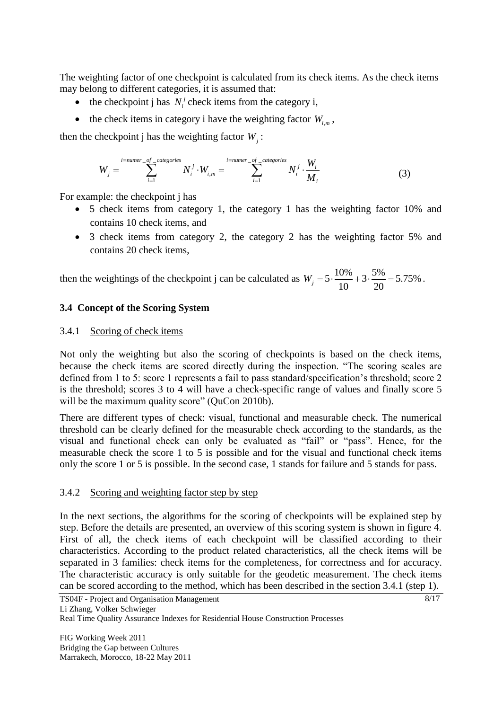The weighting factor of one checkpoint is calculated from its check items. As the check items may belong to different categories, it is assumed that:

- the checkpoint j has  $N_i^j$  check items from the category i,
- the check items in category i have the weighting factor  $W_{i,m}$ ,

then the checkpoint j has the weighting factor 
$$
W_j
$$
:  
\n
$$
W_j = \sum_{i=1}^{i = number\_of\_categories} N_i^j \cdot W_{i,m} = \sum_{i=1}^{i = number\_of\_categories} N_i^j \cdot \frac{W_i}{M_i}
$$
\n(3)

For example: the checkpoint j has

- 5 check items from category 1, the category 1 has the weighting factor 10% and contains 10 check items, and
- 3 check items from category 2, the category 2 has the weighting factor 5% and contains 20 check items,

then the weightings of the checkpoint j can be calculated as  $W_j = 5 \cdot \frac{10\%}{10} + 3 \cdot \frac{5\%}{20} = 5.75\%$  $\frac{0.00}{10} + 3 \cdot \frac{3.00}{20}$  $W_j = 5 \cdot \frac{10\%}{10} + 3 \cdot \frac{5\%}{20} = 5.75\%$ .

## **3.4 Concept of the Scoring System**

## 3.4.1 Scoring of check items

Not only the weighting but also the scoring of checkpoints is based on the check items, because the check items are scored directly during the inspection. "The scoring scales are defined from 1 to 5: score 1 represents a fail to pass standard/specification's threshold; score 2 is the threshold; scores 3 to 4 will have a check-specific range of values and finally score 5 will be the maximum quality score" (QuCon 2010b).

There are different types of check: visual, functional and measurable check. The numerical threshold can be clearly defined for the measurable check according to the standards, as the visual and functional check can only be evaluated as "fail" or "pass". Hence, for the measurable check the score 1 to 5 is possible and for the visual and functional check items only the score 1 or 5 is possible. In the second case, 1 stands for failure and 5 stands for pass.

# 3.4.2 Scoring and weighting factor step by step

In the next sections, the algorithms for the scoring of checkpoints will be explained step by step. Before the details are presented, an overview of this scoring system is shown in figure 4. First of all, the check items of each checkpoint will be classified according to their characteristics. According to the product related characteristics, all the check items will be separated in 3 families: check items for the completeness, for correctness and for accuracy. The characteristic accuracy is only suitable for the geodetic measurement. The check items can be scored according to the method, which has been described in the section 3.4.1 (step 1).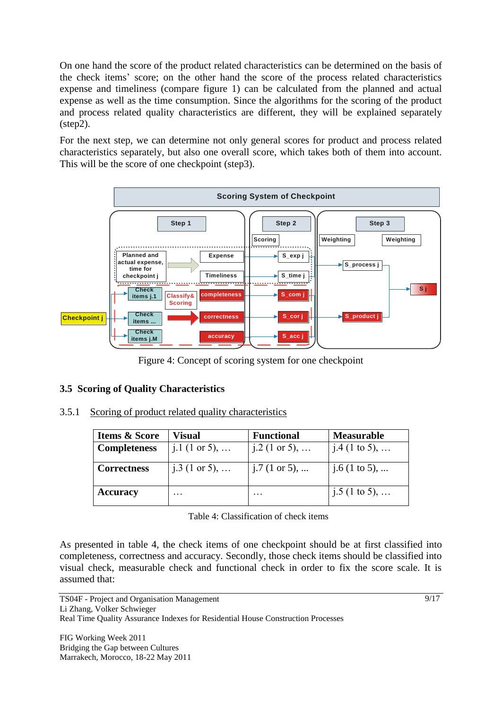On one hand the score of the product related characteristics can be determined on the basis of the check items' score; on the other hand the score of the process related characteristics expense and timeliness (compare figure 1) can be calculated from the planned and actual expense as well as the time consumption. Since the algorithms for the scoring of the product and process related quality characteristics are different, they will be explained separately (step2).

For the next step, we can determine not only general scores for product and process related characteristics separately, but also one overall score, which takes both of them into account. This will be the score of one checkpoint (step3).



Figure 4: Concept of scoring system for one checkpoint

# **3.5 Scoring of Quality Characteristics**

3.5.1 Scoring of product related quality characteristics

| <b>Items &amp; Score</b> | Visual          | <b>Functional</b> | <b>Measurable</b> |
|--------------------------|-----------------|-------------------|-------------------|
| <b>Completeness</b>      | $j.1$ (1 or 5), | j.2 (1 or 5),     | j.4 (1 to 5),     |
| <b>Correctness</b>       | j.3 (1 or 5),   | j.7 (1 or 5),     | $j.6$ (1 to 5),   |
| <b>Accuracy</b>          | .               |                   | j.5 (1 to 5),     |

Table 4: Classification of check items

As presented in table 4, the check items of one checkpoint should be at first classified into completeness, correctness and accuracy. Secondly, those check items should be classified into visual check, measurable check and functional check in order to fix the score scale. It is assumed that: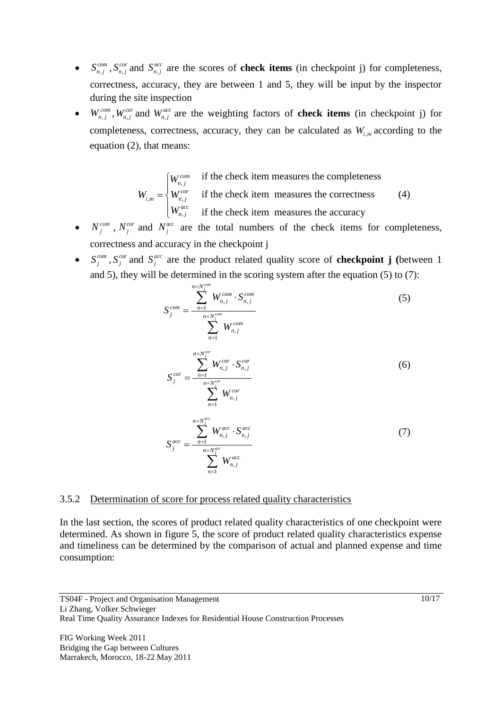- $\bullet$   $S_{n,j}^{com}, S_n^{co}$  $S_{n,j}^{cor}$  and  $S_{n,j}^{av}$  $S_{n,j}^{acc}$  are the scores of **check items** (in checkpoint j) for completeness, correctness, accuracy, they are between 1 and 5, they will be input by the inspector during the site inspection
- $W_{n,j}^{com}$ ,  $W_{n,j}^{cor}$  and  $W_{n,j}^{acc}$  are the weighting factors of **check items** (in checkpoint j) for completeness, correctness, accuracy, they can be calculated as  $W_{i,m}$  according to the equation (2), that means:

$$
W_{i,m} = \begin{cases} W_{n,j}^{com} & \text{if the check item measures the completeness} \\ W_{n,j}^{cor} & \text{if the check item measures the correctness} \\ W_{n,j}^{acc} & \text{if the check item measures the accuracy} \end{cases}
$$
 (4)

- $N_j^{com}$ ,  $N_j^{cor}$  and  $N_j^{acc}$  are the total numbers of the check items for completeness, correctness and accuracy in the checkpoint j
- $\bullet$  *S*<sup>*com*</sup>  $S_j^{com}$  ,  $S_j^{cor}$  $S_j^{cor}$  and  $S_j^{acc}$ *j S* are the product related quality score of **checkpoint j (**between 1 and 5), they will be determined in the scoring system after the equation (5) to (7):

$$
S_j^{com} = \frac{\sum_{n=1}^{n=N_j^{com}} W_{n,j}^{com} \cdot S_{n,j}^{com}}{\sum_{n=1}^{N_j^{com}} W_{n,j}^{com}}
$$
(5)

$$
S_j^{cor} = \frac{\sum_{n=1}^{n=N_j^{cor}} W_{n,j}^{cor} \cdot S_{n,j}^{cor}}{\sum_{n=1}^{n=N_j^{cor}} W_{n,j}^{cor}}
$$
(6)

$$
S_j^{acc} = \frac{\sum_{n=1}^{n=N_j^{acc}} W_{n,j}^{acc} \cdot S_{n,j}^{acc}}{\sum_{n=1}^{N_j^{acc}} W_{n,j}^{acc}}
$$
(7)

#### 3.5.2 Determination of score for process related quality characteristics

In the last section, the scores of product related quality characteristics of one checkpoint were determined. As shown in figure 5, the score of product related quality characteristics expense and timeliness can be determined by the comparison of actual and planned expense and time consumption: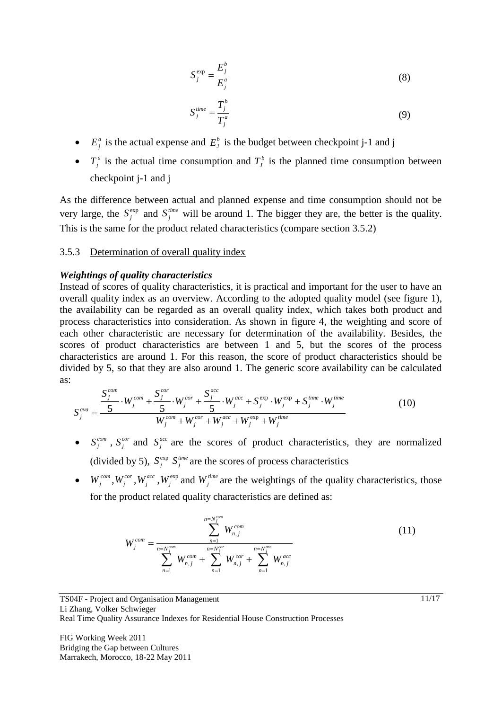$$
S_j^{\exp} = \frac{E_j^b}{E_j^a} \tag{8}
$$

$$
S_j^{time} = \frac{T_j^b}{T_j^a} \tag{9}
$$

- $E_j^a$  is the actual expense and  $E_j^b$  is the budget between checkpoint j-1 and j
- $T_j^a$  is the actual time consumption and  $T_j^b$  is the planned time consumption between checkpoint j-1 and j

As the difference between actual and planned expense and time consumption should not be very large, the  $S_i^{\text{exp}}$  $S_j^{\text{exp}}$  and  $S_j^{\text{time}}$  $S_j^{\text{time}}$  will be around 1. The bigger they are, the better is the quality. This is the same for the product related characteristics (compare section 3.5.2)

#### 3.5.3 Determination of overall quality index

#### *Weightings of quality characteristics*

Instead of scores of quality characteristics, it is practical and important for the user to have an overall quality index as an overview. According to the adopted quality model (see figure 1), the availability can be regarded as an overall quality index, which takes both product and process characteristics into consideration. As shown in figure 4, the weighting and score of each other characteristic are necessary for determination of the availability. Besides, the scores of product characteristics are between 1 and 5, but the scores of the process characteristics are around 1. For this reason, the score of product characteristics should be divided by 5, so that they are also around 1. The generic score availability can be calculated as:<br>  $S_j^{com}$ <br>  $\frac{S_j^{com}}{I} \cdot W_i^{com} + \frac{S_j^{cor}}{I} \cdot W_i^{cor} + \frac{S_j^{acc}}{I} \cdot W_i^{acc} + S_i^{exp} \cdot W_i^{exp} + S_i^{time} \cdot W_i^{time}$  (10) as:  $\sum_{i=1}^{com} S_i^{cor}$  *s*  $S_i^{acc}$ 

exp exp exp 5 5 5 *j j j com cor acc time time j j j j j j j ava <sup>j</sup> com cor acc time j j j j j W W W S W S W S W W W W W* (10)

- $S_i^{com}$  $S_j^{com}$ ,  $S_j^{cor}$  and  $S_j^{acc}$  are the scores of product characteristics, they are normalized (divided by 5),  $S_i^{\text{exp}}$  $S_j^{\text{exp}}$   $S_j^{\text{time}}$  are the scores of process characteristics
- $W_j^{com}$ ,  $W_j^{cor}$ ,  $W_j^{acc}$ ,  $W_j^{exp}$  and  $W_j^{time}$  are the weightings of the quality characteristics, those for the product related quality characteristics are defined as:

$$
W_j^{com} = \frac{\sum_{n=N_j^{com}}^{n=N_j^{com}} W_{n,j}^{com}}{\sum_{n=1}^{N_j^{com}} W_{n,j}^{com} + \sum_{n=1}^{N_j^{cor}} W_{n,j}^{cor} + \sum_{n=1}^{N_j^{acc}} W_{n,j}^{acc}}
$$
(11)

TS04F - Project and Organisation Management Li Zhang, Volker Schwieger Real Time Quality Assurance Indexes for Residential House Construction Processes

FIG Working Week 2011 Bridging the Gap between Cultures Marrakech, Morocco, 18-22 May 2011 11/17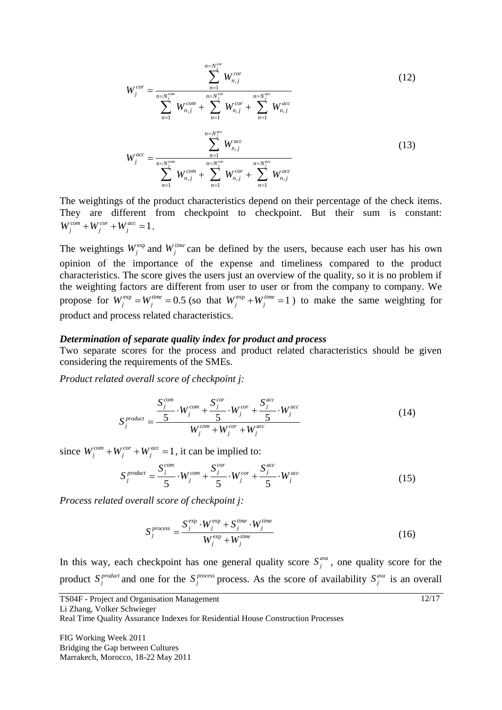$$
W_j^{cor} = \frac{\sum_{n=1}^{n=N_j^{cor}} W_{n,j}^{cor}}{\sum_{n=1}^{n=N_j^{com}} W_{n,j}^{com} + \sum_{n=1}^{n=N_j^{cor}} W_{n,j}^{cor} + \sum_{n=1}^{n=N_j^{acc}} W_{n,j}^{acc}}
$$
(12)  

$$
W_j^{acc} = \frac{\sum_{n=N_j^{cor}}^{n=N_j^{acc}} W_{n,j}^{acc}}{\sum_{n=1}^{n=N_j^{cor}} W_{n,j}^{acc} + \sum_{n=1}^{n=N_j^{acc}} W_{n,j}^{acc}}
$$
(13)

The weightings of the product characteristics depend on their percentage of the check items. They are different from checkpoint to checkpoint. But their sum is constant:  $W_j^{com} + W_j^{cor} + W_j^{acc} = 1$ .

The weightings  $W_j^{\text{exp}}$  and  $W_j^{\text{time}}$  can be defined by the users, because each user has his own opinion of the importance of the expense and timeliness compared to the product characteristics. The score gives the users just an overview of the quality, so it is no problem if the weighting factors are different from user to user or from the company to company. We propose for  $W_j^{\text{exp}} = W_j^{\text{time}} = 0.5$  (so that  $W_j^{\text{exp}} + W_j^{\text{time}} = 1$ ) to make the same weighting for product and process related characteristics.

#### *Determination of separate quality index for product and process*

Two separate scores for the process and product related characteristics should be given considering the requirements of the SMEs.

*Product related overall score of checkpoint j:*

$$
S_j^{product} = \frac{S_j^{com}}{1} \cdot W_j^{com} + \frac{S_j^{cor}}{5} \cdot W_j^{cor} + \frac{S_j^{acc}}{5} \cdot W_j^{acc}
$$
\n
$$
S_j^{product} = \frac{5}{W_j^{com} + W_j^{cor} + W_j^{acc}}
$$
\n
$$
(14)
$$

since  $W_j^{com} + W_j^{cor} + W_j^{acc} = 1$ , it can be implied to:<br>  $S_j^{product} = \frac{S_j^{com}}{i} \cdot W_j^{com} + \frac{S_j^{cor}}{i} \cdot W_j^{cor} + \frac{S_j^{acc}}{i}$ 

$$
S_j^{product} = \frac{S_j^{com}}{5} \cdot W_j^{com} + \frac{S_j^{cor}}{5} \cdot W_j^{cor} + \frac{S_j^{acc}}{5} \cdot W_j^{acc}
$$
 (15)

*Process related overall score of checkpoint j:*

$$
S_j^{process} = \frac{S_j^{\exp} \cdot W_j^{\exp} + S_j^{\text{time}} \cdot W_j^{\text{time}}}{W_j^{\exp} + W_j^{\text{time}}}
$$
(16)

In this way, each checkpoint has one general quality score  $S_i^{ava}$  $S_j^{\text{ava}}$ , one quality score for the product *product*  $S_j^{\text{product}}$  and one for the  $S_j^{\text{process}}$  $S_j^{process}$  process. As the score of availability  $S_j^{ava}$  $S_j^{ava}$  is an overall

Real Time Quality Assurance Indexes for Residential House Construction Processes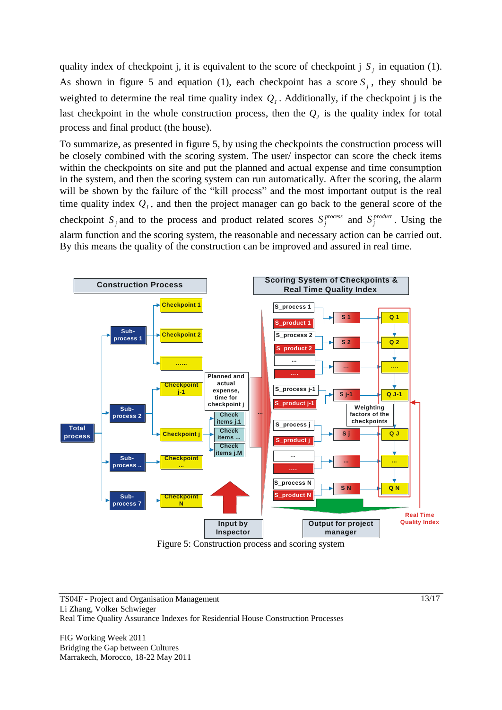quality index of checkpoint j, it is equivalent to the score of checkpoint j  $S_j$  in equation (1). As shown in figure 5 and equation (1), each checkpoint has a score  $S_j$ , they should be weighted to determine the real time quality index  $Q_j$ . Additionally, if the checkpoint j is the last checkpoint in the whole construction process, then the  $Q<sub>J</sub>$  is the quality index for total process and final product (the house).

To summarize, as presented in figure 5, by using the checkpoints the construction process will be closely combined with the scoring system. The user/ inspector can score the check items within the checkpoints on site and put the planned and actual expense and time consumption in the system, and then the scoring system can run automatically. After the scoring, the alarm will be shown by the failure of the "kill process" and the most important output is the real time quality index  $Q<sub>J</sub>$ , and then the project manager can go back to the general score of the checkpoint  $S_j$  and to the process and product related scores  $S_j^{process}$  $S_j^{process}$  and  $S_j^{product}$  $S_j^{product}$ . Using the alarm function and the scoring system, the reasonable and necessary action can be carried out. By this means the quality of the construction can be improved and assured in real time.



Figure 5: Construction process and scoring system

TS04F - Project and Organisation Management Li Zhang, Volker Schwieger Real Time Quality Assurance Indexes for Residential House Construction Processes

FIG Working Week 2011 Bridging the Gap between Cultures Marrakech, Morocco, 18-22 May 2011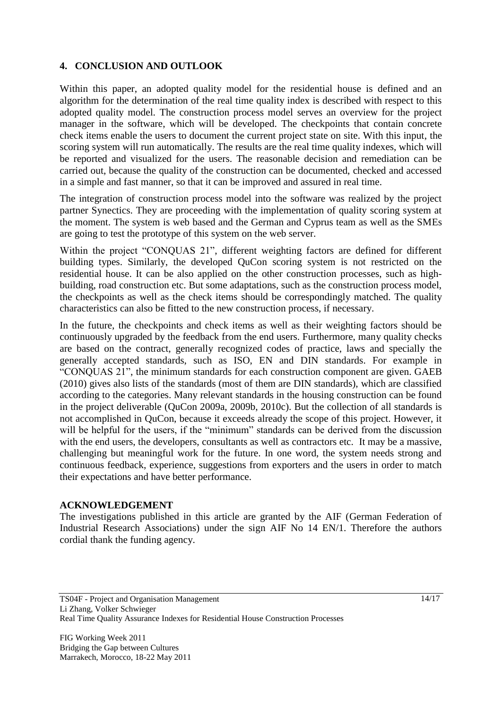# **4. CONCLUSION AND OUTLOOK**

Within this paper, an adopted quality model for the residential house is defined and an algorithm for the determination of the real time quality index is described with respect to this adopted quality model. The construction process model serves an overview for the project manager in the software, which will be developed. The checkpoints that contain concrete check items enable the users to document the current project state on site. With this input, the scoring system will run automatically. The results are the real time quality indexes, which will be reported and visualized for the users. The reasonable decision and remediation can be carried out, because the quality of the construction can be documented, checked and accessed in a simple and fast manner, so that it can be improved and assured in real time.

The integration of construction process model into the software was realized by the project partner Synectics. They are proceeding with the implementation of quality scoring system at the moment. The system is web based and the German and Cyprus team as well as the SMEs are going to test the prototype of this system on the web server.

Within the project "CONQUAS 21", different weighting factors are defined for different building types. Similarly, the developed QuCon scoring system is not restricted on the residential house. It can be also applied on the other construction processes, such as highbuilding, road construction etc. But some adaptations, such as the construction process model, the checkpoints as well as the check items should be correspondingly matched. The quality characteristics can also be fitted to the new construction process, if necessary.

In the future, the checkpoints and check items as well as their weighting factors should be continuously upgraded by the feedback from the end users. Furthermore, many quality checks are based on the contract, generally recognized codes of practice, laws and specially the generally accepted standards, such as ISO, EN and DIN standards. For example in "CONQUAS 21", the minimum standards for each construction component are given. GAEB (2010) gives also lists of the standards (most of them are DIN standards), which are classified according to the categories. Many relevant standards in the housing construction can be found in the project deliverable (QuCon 2009a, 2009b, 2010c). But the collection of all standards is not accomplished in QuCon, because it exceeds already the scope of this project. However, it will be helpful for the users, if the "minimum" standards can be derived from the discussion with the end users, the developers, consultants as well as contractors etc. It may be a massive, challenging but meaningful work for the future. In one word, the system needs strong and continuous feedback, experience, suggestions from exporters and the users in order to match their expectations and have better performance.

# **ACKNOWLEDGEMENT**

The investigations published in this article are granted by the AIF (German Federation of Industrial Research Associations) under the sign AIF No 14 EN/1. Therefore the authors cordial thank the funding agency.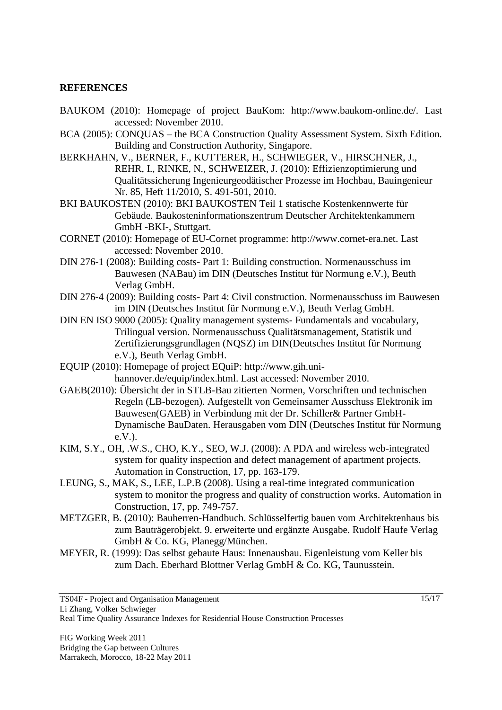## **REFERENCES**

- BAUKOM (2010): Homepage of project BauKom: http://www.baukom-online.de/. Last accessed: November 2010.
- BCA (2005): CONQUAS the BCA Construction Quality Assessment System. Sixth Edition. Building and Construction Authority, Singapore.
- BERKHAHN, V., BERNER, F., KUTTERER, H., SCHWIEGER, V., HIRSCHNER, J., REHR, I., RINKE, N., SCHWEIZER, J. (2010): Effizienzoptimierung und Qualitätssicherung Ingenieurgeodätischer Prozesse im Hochbau, Bauingenieur Nr. 85, Heft 11/2010, S. 491-501, 2010.
- BKI BAUKOSTEN (2010): BKI BAUKOSTEN Teil 1 statische Kostenkennwerte für Gebäude. Baukosteninformationszentrum Deutscher Architektenkammern GmbH -BKI-, Stuttgart.
- CORNET (2010): Homepage of EU-Cornet programme: [http://www.cornet-era.net.](http://www.cornet-era.net/) Last accessed: November 2010.
- DIN 276-1 (2008): Building costs- Part 1: Building construction. Normenausschuss im Bauwesen (NABau) im DIN (Deutsches Institut für Normung e.V.), Beuth Verlag GmbH.
- DIN 276-4 (2009): Building costs- Part 4: Civil construction. Normenausschuss im Bauwesen im DIN (Deutsches Institut für Normung e.V.), Beuth Verlag GmbH.
- DIN EN ISO 9000 (2005): Quality management systems- Fundamentals and vocabulary, Trilingual version. Normenausschuss Qualitätsmanagement, Statistik und Zertifizierungsgrundlagen (NQSZ) im DIN(Deutsches Institut für Normung e.V.), Beuth Verlag GmbH.
- EQUIP (2010): Homepage of project EQuiP: http://www.gih.unihannover.de/equip/index.html. Last accessed: November 2010.
- GAEB(2010): Übersicht der in STLB-Bau zitierten Normen, Vorschriften und technischen Regeln (LB-bezogen). Aufgestellt von Gemeinsamer Ausschuss Elektronik im Bauwesen(GAEB) in Verbindung mit der Dr. Schiller& Partner GmbH-Dynamische BauDaten. Herausgaben vom DIN (Deutsches Institut für Normung e.V.).
- KIM, S.Y., OH, .W.S., CHO, K.Y., SEO, W.J. (2008): A PDA and wireless web-integrated system for quality inspection and defect management of apartment projects. Automation in Construction, 17, pp. 163-179.
- LEUNG, S., MAK, S., LEE, L.P.B (2008). Using a real-time integrated communication system to monitor the progress and quality of construction works. Automation in Construction, 17, pp. 749-757.
- METZGER, B. (2010): Bauherren-Handbuch. Schlüsselfertig bauen vom Architektenhaus bis zum Bauträgerobjekt. 9. erweiterte und ergänzte Ausgabe. Rudolf Haufe Verlag GmbH & Co. KG, Planegg/München.
- MEYER, R. (1999): Das selbst gebaute Haus: Innenausbau. Eigenleistung vom Keller bis zum Dach. Eberhard Blottner Verlag GmbH & Co. KG, Taunusstein.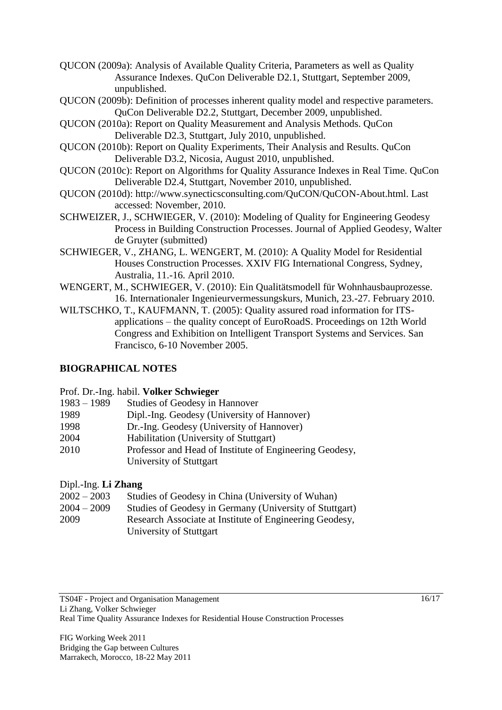- QUCON (2009a): Analysis of Available Quality Criteria, Parameters as well as Quality Assurance Indexes. QuCon Deliverable D2.1, Stuttgart, September 2009, unpublished.
- QUCON (2009b): Definition of processes inherent quality model and respective parameters. QuCon Deliverable D2.2, Stuttgart, December 2009, unpublished.
- QUCON (2010a): Report on Quality Measurement and Analysis Methods. QuCon Deliverable D2.3, Stuttgart, July 2010, unpublished.
- QUCON (2010b): Report on Quality Experiments, Their Analysis and Results. QuCon Deliverable D3.2, Nicosia, August 2010, unpublished.
- QUCON (2010c): Report on Algorithms for Quality Assurance Indexes in Real Time. QuCon Deliverable D2.4, Stuttgart, November 2010, unpublished.
- QUCON (2010d): [http://www.synecticsconsulting.com/QuCON/QuCON-About.html.](http://www.synecticsconsulting.com/QuCON/QuCON-About.html) Last accessed: November, 2010.
- SCHWEIZER, J., SCHWIEGER, V. (2010): Modeling of Quality for Engineering Geodesy Process in Building Construction Processes. Journal of Applied Geodesy, Walter de Gruyter (submitted)
- SCHWIEGER, V., ZHANG, L. WENGERT, M. (2010): A Quality Model for Residential Houses Construction Processes. XXIV FIG International Congress, Sydney, Australia, 11.-16. April 2010.
- WENGERT, M., SCHWIEGER, V. (2010): Ein Qualitätsmodell für Wohnhausbauprozesse. 16. Internationaler Ingenieurvermessungskurs, Munich, 23.-27. February 2010.
- WILTSCHKO, T., KAUFMANN, T. (2005): Quality assured road information for ITSapplications – the quality concept of EuroRoadS. Proceedings on 12th World Congress and Exhibition on Intelligent Transport Systems and Services. San Francisco, 6-10 November 2005.

# **BIOGRAPHICAL NOTES**

## Prof. Dr.-Ing. habil. **Volker Schwieger**

- 1983 1989 Studies of Geodesy in Hannover
- 1989 Dipl.-Ing. Geodesy (University of Hannover)
- 1998 Dr.-Ing. Geodesy (University of Hannover)
- 2004 Habilitation (University of Stuttgart)
- 2010 Professor and Head of Institute of Engineering Geodesy, University of Stuttgart

# Dipl.-Ing. **Li Zhang**

| $2002 - 2003$ | Studies of Geodesy in China (University of Wuhan)       |
|---------------|---------------------------------------------------------|
| $2004 - 2009$ | Studies of Geodesy in Germany (University of Stuttgart) |
| 2009          | Research Associate at Institute of Engineering Geodesy, |
|               | University of Stuttgart                                 |
|               |                                                         |